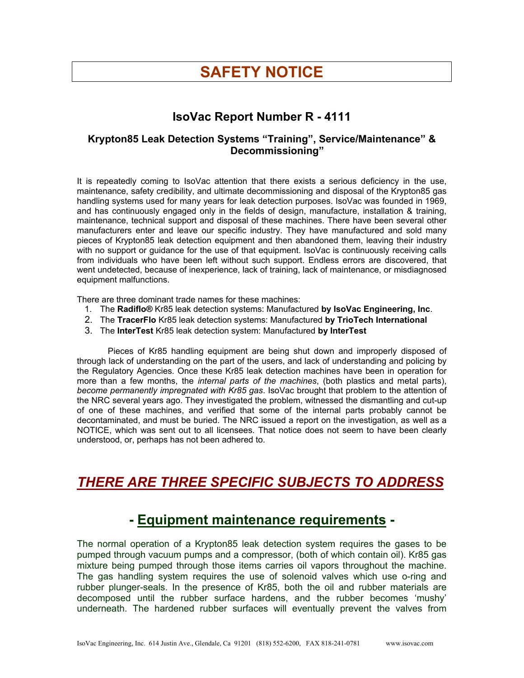# **SAFETY NOTICE**

#### **IsoVac Report Number R - 4111**

#### **Krypton85 Leak Detection Systems "Training", Service/Maintenance" & Decommissioning"**

It is repeatedly coming to IsoVac attention that there exists a serious deficiency in the use, maintenance, safety credibility, and ultimate decommissioning and disposal of the Krypton85 gas handling systems used for many years for leak detection purposes. IsoVac was founded in 1969, and has continuously engaged only in the fields of design, manufacture, installation & training, maintenance, technical support and disposal of these machines. There have been several other manufacturers enter and leave our specific industry. They have manufactured and sold many pieces of Krypton85 leak detection equipment and then abandoned them, leaving their industry with no support or guidance for the use of that equipment. IsoVac is continuously receiving calls from individuals who have been left without such support. Endless errors are discovered, that went undetected, because of inexperience, lack of training, lack of maintenance, or misdiagnosed equipment malfunctions.

There are three dominant trade names for these machines:

- 1. The **Radiflo®** Kr85 leak detection systems: Manufactured **by IsoVac Engineering, Inc**.
- 2. The **TracerFlo** Kr85 leak detection systems: Manufactured **by TrioTech International**
- 3. The **InterTest** Kr85 leak detection system: Manufactured **by InterTest**

Pieces of Kr85 handling equipment are being shut down and improperly disposed of through lack of understanding on the part of the users, and lack of understanding and policing by the Regulatory Agencies. Once these Kr85 leak detection machines have been in operation for more than a few months, the *internal parts of the machines*, (both plastics and metal parts), *become permanently impregnated with Kr85 gas*. IsoVac brought that problem to the attention of the NRC several years ago. They investigated the problem, witnessed the dismantling and cut-up of one of these machines, and verified that some of the internal parts probably cannot be decontaminated, and must be buried. The NRC issued a report on the investigation, as well as a NOTICE, which was sent out to all licensees. That notice does not seem to have been clearly understood, or, perhaps has not been adhered to.

## *THERE ARE THREE SPECIFIC SUBJECTS TO ADDRESS*

#### **- Equipment maintenance requirements -**

The normal operation of a Krypton85 leak detection system requires the gases to be pumped through vacuum pumps and a compressor, (both of which contain oil). Kr85 gas mixture being pumped through those items carries oil vapors throughout the machine. The gas handling system requires the use of solenoid valves which use o-ring and rubber plunger-seals. In the presence of Kr85, both the oil and rubber materials are decomposed until the rubber surface hardens, and the rubber becomes 'mushy' underneath. The hardened rubber surfaces will eventually prevent the valves from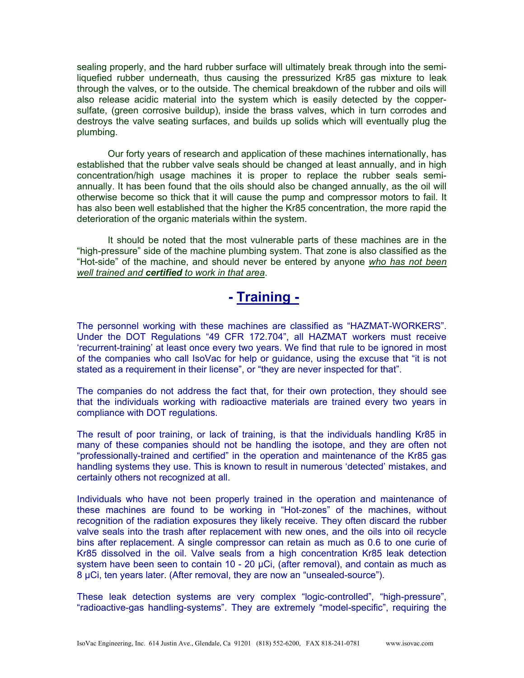sealing properly, and the hard rubber surface will ultimately break through into the semiliquefied rubber underneath, thus causing the pressurized Kr85 gas mixture to leak through the valves, or to the outside. The chemical breakdown of the rubber and oils will also release acidic material into the system which is easily detected by the coppersulfate, (green corrosive buildup), inside the brass valves, which in turn corrodes and destroys the valve seating surfaces, and builds up solids which will eventually plug the plumbing.

Our forty years of research and application of these machines internationally, has established that the rubber valve seals should be changed at least annually, and in high concentration/high usage machines it is proper to replace the rubber seals semiannually. It has been found that the oils should also be changed annually, as the oil will otherwise become so thick that it will cause the pump and compressor motors to fail. It has also been well established that the higher the Kr85 concentration, the more rapid the deterioration of the organic materials within the system.

It should be noted that the most vulnerable parts of these machines are in the "high-pressure" side of the machine plumbing system. That zone is also classified as the "Hot-side" of the machine, and should never be entered by anyone *who has not been well trained and certified to work in that area*.

# **- Training -**

The personnel working with these machines are classified as "HAZMAT-WORKERS". Under the DOT Regulations "49 CFR 172.704", all HAZMAT workers must receive 'recurrent-training' at least once every two years. We find that rule to be ignored in most of the companies who call IsoVac for help or guidance, using the excuse that "it is not stated as a requirement in their license", or "they are never inspected for that".

The companies do not address the fact that, for their own protection, they should see that the individuals working with radioactive materials are trained every two years in compliance with DOT regulations.

The result of poor training, or lack of training, is that the individuals handling Kr85 in many of these companies should not be handling the isotope, and they are often not "professionally-trained and certified" in the operation and maintenance of the Kr85 gas handling systems they use. This is known to result in numerous 'detected' mistakes, and certainly others not recognized at all.

Individuals who have not been properly trained in the operation and maintenance of these machines are found to be working in "Hot-zones" of the machines, without recognition of the radiation exposures they likely receive. They often discard the rubber valve seals into the trash after replacement with new ones, and the oils into oil recycle bins after replacement. A single compressor can retain as much as 0.6 to one curie of Kr85 dissolved in the oil. Valve seals from a high concentration Kr85 leak detection system have been seen to contain 10 - 20 µCi, (after removal), and contain as much as 8 µCi, ten years later. (After removal, they are now an "unsealed-source").

These leak detection systems are very complex "logic-controlled", "high-pressure", "radioactive-gas handling-systems". They are extremely "model-specific", requiring the